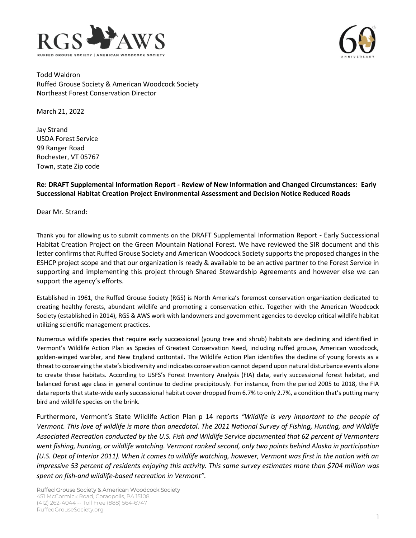



Todd Waldron Ruffed Grouse Society & American Woodcock Society Northeast Forest Conservation Director

March 21, 2022

Jay Strand USDA Forest Service 99 Ranger Road Rochester, VT 05767 Town, state Zip code

## **Re: DRAFT Supplemental Information Report - Review of New Information and Changed Circumstances: Early Successional Habitat Creation Project Environmental Assessment and Decision Notice Reduced Roads**

Dear Mr. Strand:

Thank you for allowing us to submit comments on the DRAFT Supplemental Information Report - Early Successional Habitat Creation Project on the Green Mountain National Forest. We have reviewed the SIR document and this letter confirms that Ruffed Grouse Society and American Woodcock Society supports the proposed changes in the ESHCP project scope and that our organization is ready & available to be an active partner to the Forest Service in supporting and implementing this project through Shared Stewardship Agreements and however else we can support the agency's efforts.

Established in 1961, the Ruffed Grouse Society (RGS) is North America's foremost conservation organization dedicated to creating healthy forests, abundant wildlife and promoting a conservation ethic. Together with the American Woodcock Society (established in 2014), RGS & AWS work with landowners and government agencies to develop critical wildlife habitat utilizing scientific management practices.

Numerous wildlife species that require early successional (young tree and shrub) habitats are declining and identified in Vermont's Wildlife Action Plan as Species of Greatest Conservation Need, including ruffed grouse, American woodcock, golden-winged warbler, and New England cottontail. The Wildlife Action Plan identifies the decline of young forests as a threat to conserving the state's biodiversity and indicates conservation cannot depend upon natural disturbance events alone to create these habitats. According to USFS's Forest Inventory Analysis (FIA) data, early successional forest habitat, and balanced forest age class in general continue to decline precipitously. For instance, from the period 2005 to 2018, the FIA data reports that state-wide early successional habitat cover dropped from 6.7% to only 2.7%, a condition that's putting many bird and wildlife species on the brink.

Furthermore, Vermont's State Wildlife Action Plan p 14 reports *"Wildlife is very important to the people of Vermont. This love of wildlife is more than anecdotal. The 2011 National Survey of Fishing, Hunting, and Wildlife Associated Recreation conducted by the U.S. Fish and Wildlife Service documented that 62 percent of Vermonters went fishing, hunting, or wildlife watching. Vermont ranked second, only two points behind Alaska in participation (U.S. Dept of Interior 2011). When it comes to wildlife watching, however, Vermont was first in the nation with an impressive 53 percent of residents enjoying this activity. This same survey estimates more than \$704 million was spent on fish-and wildlife-based recreation in Vermont".*